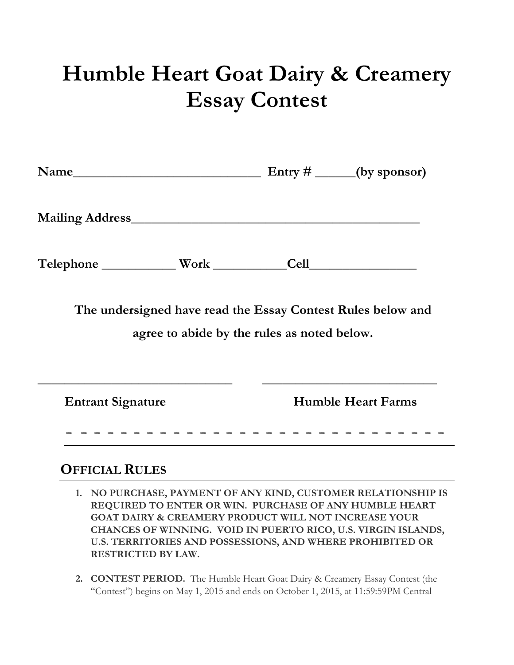## **Humble Heart Goat Dairy & Creamery Essay Contest**

| Name                     |                                                                                                            |                           | Entry $\#$ ______(by sponsor) |
|--------------------------|------------------------------------------------------------------------------------------------------------|---------------------------|-------------------------------|
|                          |                                                                                                            |                           |                               |
|                          |                                                                                                            |                           |                               |
|                          | The undersigned have read the Essay Contest Rules below and<br>agree to abide by the rules as noted below. |                           |                               |
| <b>Entrant Signature</b> |                                                                                                            | <b>Humble Heart Farms</b> |                               |
|                          |                                                                                                            |                           |                               |

## **OFFICIAL RULES**

- **1. NO PURCHASE, PAYMENT OF ANY KIND, CUSTOMER RELATIONSHIP IS REQUIRED TO ENTER OR WIN. PURCHASE OF ANY HUMBLE HEART GOAT DAIRY & CREAMERY PRODUCT WILL NOT INCREASE YOUR CHANCES OF WINNING. VOID IN PUERTO RICO, U.S. VIRGIN ISLANDS, U.S. TERRITORIES AND POSSESSIONS, AND WHERE PROHIBITED OR RESTRICTED BY LAW.**
- **2. CONTEST PERIOD.** The Humble Heart Goat Dairy & Creamery Essay Contest (the "Contest") begins on May 1, 2015 and ends on October 1, 2015, at 11:59:59PM Central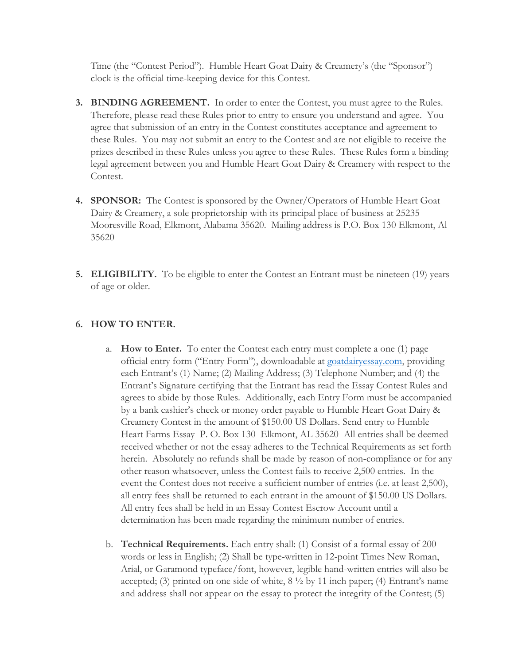Time (the "Contest Period"). Humble Heart Goat Dairy & Creamery's (the "Sponsor") clock is the official time-keeping device for this Contest.

- **3. BINDING AGREEMENT.** In order to enter the Contest, you must agree to the Rules. Therefore, please read these Rules prior to entry to ensure you understand and agree. You agree that submission of an entry in the Contest constitutes acceptance and agreement to these Rules. You may not submit an entry to the Contest and are not eligible to receive the prizes described in these Rules unless you agree to these Rules. These Rules form a binding legal agreement between you and Humble Heart Goat Dairy & Creamery with respect to the Contest.
- **4. SPONSOR:** The Contest is sponsored by the Owner/Operators of Humble Heart Goat Dairy & Creamery, a sole proprietorship with its principal place of business at 25235 Mooresville Road, Elkmont, Alabama 35620. Mailing address is P.O. Box 130 Elkmont, Al 35620
- **5. ELIGIBILITY.** To be eligible to enter the Contest an Entrant must be nineteen (19) years of age or older.

## **6. HOW TO ENTER.**

- a. **How to Enter.** To enter the Contest each entry must complete a one (1) page official entry form ("Entry Form"), downloadable at [goatdairyessay.com,](file:///C:/Users/Spell/Downloads/goatdairyessay.com) providing each Entrant's (1) Name; (2) Mailing Address; (3) Telephone Number; and (4) the Entrant's Signature certifying that the Entrant has read the Essay Contest Rules and agrees to abide by those Rules. Additionally, each Entry Form must be accompanied by a bank cashier's check or money order payable to Humble Heart Goat Dairy & Creamery Contest in the amount of \$150.00 US Dollars. Send entry to Humble Heart Farms Essay P. O. Box 130 Elkmont, AL 35620 All entries shall be deemed received whether or not the essay adheres to the Technical Requirements as set forth herein. Absolutely no refunds shall be made by reason of non-compliance or for any other reason whatsoever, unless the Contest fails to receive 2,500 entries. In the event the Contest does not receive a sufficient number of entries (i.e. at least 2,500), all entry fees shall be returned to each entrant in the amount of \$150.00 US Dollars. All entry fees shall be held in an Essay Contest Escrow Account until a determination has been made regarding the minimum number of entries.
- b. **Technical Requirements.** Each entry shall: (1) Consist of a formal essay of 200 words or less in English; (2) Shall be type-written in 12-point Times New Roman, Arial, or Garamond typeface/font, however, legible hand-written entries will also be accepted; (3) printed on one side of white, 8 ½ by 11 inch paper; (4) Entrant's name and address shall not appear on the essay to protect the integrity of the Contest; (5)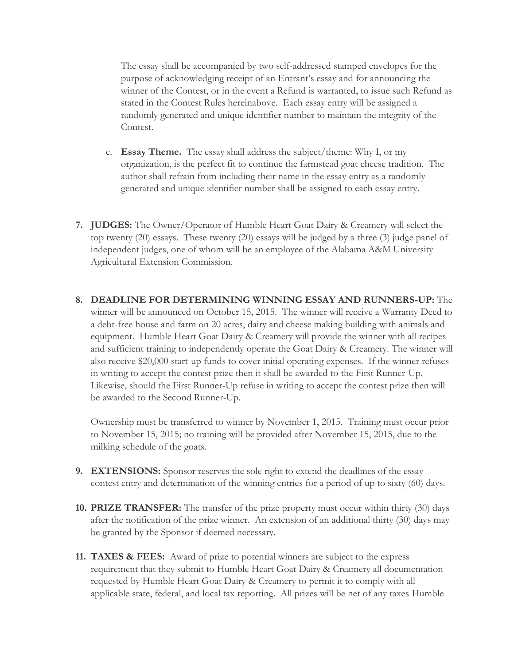The essay shall be accompanied by two self-addressed stamped envelopes for the purpose of acknowledging receipt of an Entrant's essay and for announcing the winner of the Contest, or in the event a Refund is warranted, to issue such Refund as stated in the Contest Rules hereinabove. Each essay entry will be assigned a randomly generated and unique identifier number to maintain the integrity of the Contest.

- c. **Essay Theme.** The essay shall address the subject/theme: Why I, or my organization, is the perfect fit to continue the farmstead goat cheese tradition. The author shall refrain from including their name in the essay entry as a randomly generated and unique identifier number shall be assigned to each essay entry.
- **7. JUDGES:** The Owner/Operator of Humble Heart Goat Dairy & Creamery will select the top twenty (20) essays. These twenty (20) essays will be judged by a three (3) judge panel of independent judges, one of whom will be an employee of the Alabama A&M University Agricultural Extension Commission.
- **8. DEADLINE FOR DETERMINING WINNING ESSAY AND RUNNERS-UP:** The winner will be announced on October 15, 2015. The winner will receive a Warranty Deed to a debt-free house and farm on 20 acres, dairy and cheese making building with animals and equipment. Humble Heart Goat Dairy & Creamery will provide the winner with all recipes and sufficient training to independently operate the Goat Dairy & Creamery. The winner will also receive \$20,000 start-up funds to cover initial operating expenses. If the winner refuses in writing to accept the contest prize then it shall be awarded to the First Runner-Up. Likewise, should the First Runner-Up refuse in writing to accept the contest prize then will be awarded to the Second Runner-Up.

Ownership must be transferred to winner by November 1, 2015. Training must occur prior to November 15, 2015; no training will be provided after November 15, 2015, due to the milking schedule of the goats.

- **9. EXTENSIONS:** Sponsor reserves the sole right to extend the deadlines of the essay contest entry and determination of the winning entries for a period of up to sixty (60) days.
- **10. PRIZE TRANSFER:** The transfer of the prize property must occur within thirty (30) days after the notification of the prize winner. An extension of an additional thirty (30) days may be granted by the Sponsor if deemed necessary.
- **11. TAXES & FEES:** Award of prize to potential winners are subject to the express requirement that they submit to Humble Heart Goat Dairy & Creamery all documentation requested by Humble Heart Goat Dairy & Creamery to permit it to comply with all applicable state, federal, and local tax reporting. All prizes will be net of any taxes Humble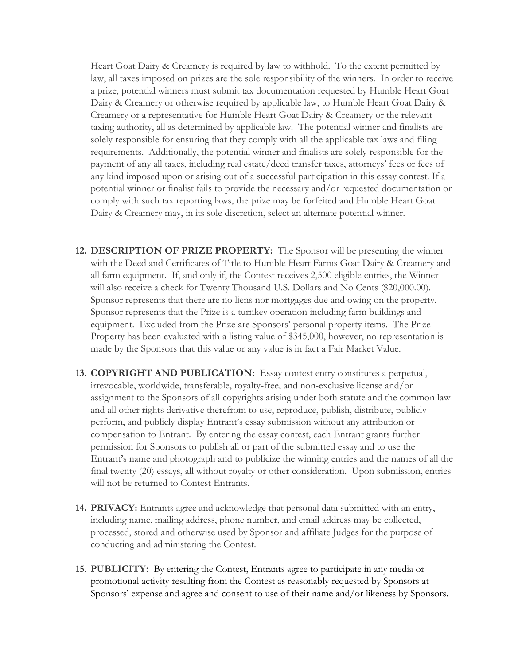Heart Goat Dairy & Creamery is required by law to withhold. To the extent permitted by law, all taxes imposed on prizes are the sole responsibility of the winners. In order to receive a prize, potential winners must submit tax documentation requested by Humble Heart Goat Dairy & Creamery or otherwise required by applicable law, to Humble Heart Goat Dairy & Creamery or a representative for Humble Heart Goat Dairy & Creamery or the relevant taxing authority, all as determined by applicable law. The potential winner and finalists are solely responsible for ensuring that they comply with all the applicable tax laws and filing requirements. Additionally, the potential winner and finalists are solely responsible for the payment of any all taxes, including real estate/deed transfer taxes, attorneys' fees or fees of any kind imposed upon or arising out of a successful participation in this essay contest. If a potential winner or finalist fails to provide the necessary and/or requested documentation or comply with such tax reporting laws, the prize may be forfeited and Humble Heart Goat Dairy & Creamery may, in its sole discretion, select an alternate potential winner.

- **12. DESCRIPTION OF PRIZE PROPERTY:** The Sponsor will be presenting the winner with the Deed and Certificates of Title to Humble Heart Farms Goat Dairy & Creamery and all farm equipment. If, and only if, the Contest receives 2,500 eligible entries, the Winner will also receive a check for Twenty Thousand U.S. Dollars and No Cents (\$20,000.00). Sponsor represents that there are no liens nor mortgages due and owing on the property. Sponsor represents that the Prize is a turnkey operation including farm buildings and equipment. Excluded from the Prize are Sponsors' personal property items. The Prize Property has been evaluated with a listing value of \$345,000, however, no representation is made by the Sponsors that this value or any value is in fact a Fair Market Value.
- **13. COPYRIGHT AND PUBLICATION:** Essay contest entry constitutes a perpetual, irrevocable, worldwide, transferable, royalty-free, and non-exclusive license and/or assignment to the Sponsors of all copyrights arising under both statute and the common law and all other rights derivative therefrom to use, reproduce, publish, distribute, publicly perform, and publicly display Entrant's essay submission without any attribution or compensation to Entrant. By entering the essay contest, each Entrant grants further permission for Sponsors to publish all or part of the submitted essay and to use the Entrant's name and photograph and to publicize the winning entries and the names of all the final twenty (20) essays, all without royalty or other consideration. Upon submission, entries will not be returned to Contest Entrants.
- **14. PRIVACY:** Entrants agree and acknowledge that personal data submitted with an entry, including name, mailing address, phone number, and email address may be collected, processed, stored and otherwise used by Sponsor and affiliate Judges for the purpose of conducting and administering the Contest.
- **15. PUBLICITY:** By entering the Contest, Entrants agree to participate in any media or promotional activity resulting from the Contest as reasonably requested by Sponsors at Sponsors' expense and agree and consent to use of their name and/or likeness by Sponsors.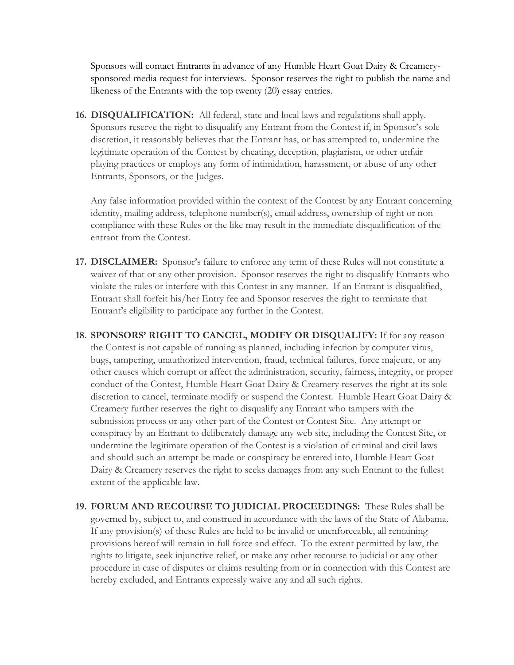Sponsors will contact Entrants in advance of any Humble Heart Goat Dairy & Creamerysponsored media request for interviews. Sponsor reserves the right to publish the name and likeness of the Entrants with the top twenty (20) essay entries.

**16. DISQUALIFICATION:** All federal, state and local laws and regulations shall apply. Sponsors reserve the right to disqualify any Entrant from the Contest if, in Sponsor's sole discretion, it reasonably believes that the Entrant has, or has attempted to, undermine the legitimate operation of the Contest by cheating, deception, plagiarism, or other unfair playing practices or employs any form of intimidation, harassment, or abuse of any other Entrants, Sponsors, or the Judges.

Any false information provided within the context of the Contest by any Entrant concerning identity, mailing address, telephone number(s), email address, ownership of right or noncompliance with these Rules or the like may result in the immediate disqualification of the entrant from the Contest.

- **17. DISCLAIMER:** Sponsor's failure to enforce any term of these Rules will not constitute a waiver of that or any other provision. Sponsor reserves the right to disqualify Entrants who violate the rules or interfere with this Contest in any manner. If an Entrant is disqualified, Entrant shall forfeit his/her Entry fee and Sponsor reserves the right to terminate that Entrant's eligibility to participate any further in the Contest.
- **18. SPONSORS' RIGHT TO CANCEL, MODIFY OR DISQUALIFY:** If for any reason the Contest is not capable of running as planned, including infection by computer virus, bugs, tampering, unauthorized intervention, fraud, technical failures, force majeure, or any other causes which corrupt or affect the administration, security, fairness, integrity, or proper conduct of the Contest, Humble Heart Goat Dairy & Creamery reserves the right at its sole discretion to cancel, terminate modify or suspend the Contest. Humble Heart Goat Dairy & Creamery further reserves the right to disqualify any Entrant who tampers with the submission process or any other part of the Contest or Contest Site. Any attempt or conspiracy by an Entrant to deliberately damage any web site, including the Contest Site, or undermine the legitimate operation of the Contest is a violation of criminal and civil laws and should such an attempt be made or conspiracy be entered into, Humble Heart Goat Dairy & Creamery reserves the right to seeks damages from any such Entrant to the fullest extent of the applicable law.
- **19. FORUM AND RECOURSE TO JUDICIAL PROCEEDINGS:** These Rules shall be governed by, subject to, and construed in accordance with the laws of the State of Alabama. If any provision(s) of these Rules are held to be invalid or unenforceable, all remaining provisions hereof will remain in full force and effect. To the extent permitted by law, the rights to litigate, seek injunctive relief, or make any other recourse to judicial or any other procedure in case of disputes or claims resulting from or in connection with this Contest are hereby excluded, and Entrants expressly waive any and all such rights.